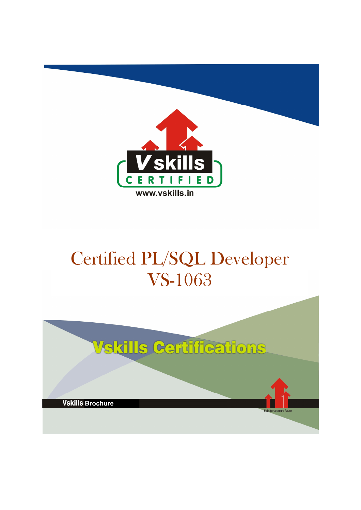

# Certified PL/SQL Developer VS-1063

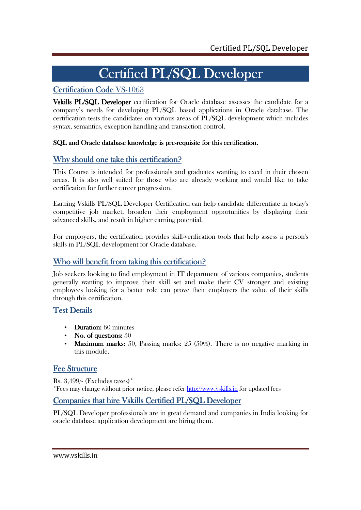# Certified PL/SQL Developer

# Certification Code VS-1063

Vskills PL/SQL Developer certification for Oracle database assesses the candidate for a company's needs for developing PL/SQL based applications in Oracle database. The certification tests the candidates on various areas of PL/SQL development which includes syntax, semantics, exception handling and transaction control.

# SQL and Oracle database knowledge is pre-requisite for this certification.

# Why should one take this certification?

This Course is intended for professionals and graduates wanting to excel in their chosen areas. It is also well suited for those who are already working and would like to take certification for further career progression.

Earning Vskills PL/SQL Developer Certification can help candidate differentiate in today's competitive job market, broaden their employment opportunities by displaying their advanced skills, and result in higher earning potential.

For employers, the certification provides skill-verification tools that help assess a person's skills in PL/SQL development for Oracle database.

# Who will benefit from taking this certification?

Job seekers looking to find employment in IT department of various companies, students generally wanting to improve their skill set and make their CV stronger and existing employees looking for a better role can prove their employers the value of their skills through this certification.

# Test Details

- Duration:  $60$  minutes
- No. of questions:  $50$
- Maximum marks: 50, Passing marks:  $25$  (50%). There is no negative marking in this module.

# **Fee Structure**

Rs. 3,499/- (Excludes taxes)\* \*Fees may change without prior notice, please refer http://www.vskills.in for updated fees

# Companies that hire Vskills Certified PL/SQL Developer

PL/SQL Developer professionals are in great demand and companies in India looking for oracle database application development are hiring them.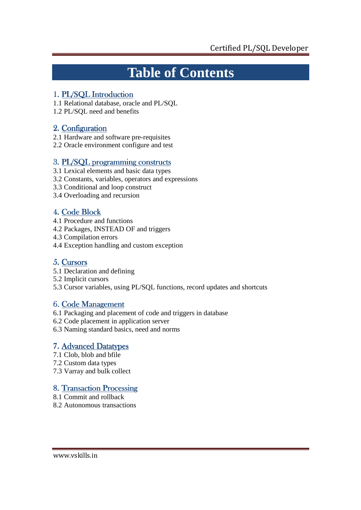# **Table of Contents**

# 1. PL/SQL Introduction

- 1.1 Relational database, oracle and PL/SQL
- 1.2 PL/SQL need and benefits

# 2. Configuration

- 2.1 Hardware and software pre-requisites
- 2.2 Oracle environment configure and test

# 3. PL/SQL programming constructs

- 3.1 Lexical elements and basic data types
- 3.2 Constants, variables, operators and expressions
- 3.3 Conditional and loop construct
- 3.4 Overloading and recursion

# 4. Code Block

- 4.1 Procedure and functions
- 4.2 Packages, INSTEAD OF and triggers
- 4.3 Compilation errors
- 4.4 Exception handling and custom exception

# 5. Cursors

- 5.1 Declaration and defining
- 5.2 Implicit cursors
- 5.3 Cursor variables, using PL/SQL functions, record updates and shortcuts

# 6. Code Management

- 6.1 Packaging and placement of code and triggers in database
- 6.2 Code placement in application server
- 6.3 Naming standard basics, need and norms

# 7. Advanced Datatypes

- 7.1 Clob, blob and bfile
- 7.2 Custom data types
- 7.3 Varray and bulk collect

# 8. Transaction Processing

- 8.1 Commit and rollback
- 8.2 Autonomous transactions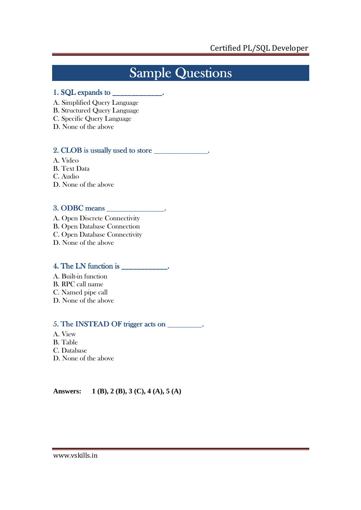# Sample Questions

## 1. SQL expands to \_\_\_\_\_\_\_\_\_\_\_\_\_. \_\_\_\_\_\_\_\_\_\_\_\_\_.

- A. Simplified Query Language
- B. Structured Query Language
- C. Specific Query Language
- D. None of the above

# 2. CLOB is usually used to store \_\_\_\_\_\_\_\_\_\_\_\_\_\_.

- A. Video
- B. Text Data
- C. Audio
- D. None of the above

# 3. ODBC means \_\_\_\_\_\_\_\_\_\_\_\_\_\_\_. ODBC means \_\_\_\_\_\_\_\_\_\_\_\_\_\_\_.

A. Open Discrete Connectivity B. Open Database Connection C. Open Database Connectivity D. None of the above

## 4. The LN function is \_\_\_\_\_\_\_\_\_\_\_\_.

- A. Built-in function
- B. RPC call name
- C. Named pipe call
- D. None of the above

# $5.$  The INSTEAD OF trigger acts on  $\frac{1}{\sqrt{1-\frac{1}{\sqrt{1-\frac{1}{\sqrt{1-\frac{1}{\sqrt{1-\frac{1}{\sqrt{1-\frac{1}{\sqrt{1-\frac{1}{\sqrt{1-\frac{1}{\sqrt{1-\frac{1}{\sqrt{1-\frac{1}{\sqrt{1-\frac{1}{\sqrt{1-\frac{1}{\sqrt{1-\frac{1}{\sqrt{1-\frac{1}{\sqrt{1-\frac{1}{\sqrt{1-\frac{1}{\sqrt{1-\frac{1}{\sqrt{1-\frac{1}{\sqrt{1-\frac{1}{\sqrt{1-\frac{1}{\sqrt{1-\frac{1$

- A. View
- B. Table
- C. Database
- D. None of the above

**Answers: 1 (B), 2 (B), 3 (C), 4 (A), 5 (A)**